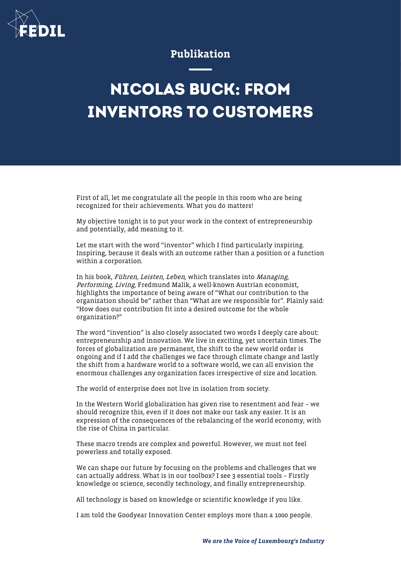

## Publikation

## **NICOLAS BUCK: FROM INVENTORS TO CUSTOMERS**

First of all, let me congratulate all the people in this room who are being recognized for their achievements. What you do matters!

My objective tonight is to put your work in the context of entrepreneurship and potentially, add meaning to it.

Let me start with the word "inventor" which I find particularly inspiring. Inspiring, because it deals with an outcome rather than a position or a function within a corporation.

In his book, Führen, Leisten, Leben, which translates into Managing, Performing, Living, Fredmund Malik, a well-known Austrian economist, highlights the importance of being aware of "What our contribution to the organization should be" rather than "What are we responsible for". Plainly said: "How does our contribution fit into a desired outcome for the whole organization?"

The word "invention" is also closely associated two words I deeply care about: entrepreneurship and innovation. We live in exciting, yet uncertain times. The forces of globalization are permanent, the shift to the new world order is ongoing and if I add the challenges we face through climate change and lastly the shift from a hardware world to a software world, we can all envision the enormous challenges any organization faces irrespective of size and location.

The world of enterprise does not live in isolation from society.

In the Western World globalization has given rise to resentment and fear – we should recognize this, even if it does not make our task any easier. It is an expression of the consequences of the rebalancing of the world economy, with the rise of China in particular.

These macro trends are complex and powerful. However, we must not feel powerless and totally exposed.

We can shape our future by focusing on the problems and challenges that we can actually address. What is in our toolbox? I see 3 essential tools – Firstly knowledge or science, secondly technology, and finally entrepreneurship.

All technology is based on knowledge or scientific knowledge if you like.

I am told the Goodyear Innovation Center employs more than a 1000 people.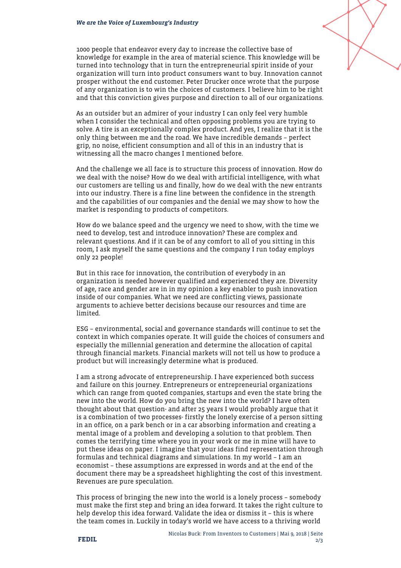1000 people that endeavor every day to increase the collective base of knowledge for example in the area of material science. This knowledge will be turned into technology that in turn the entrepreneurial spirit inside of your organization will turn into product consumers want to buy. Innovation cannot prosper without the end customer. Peter Drucker once wrote that the purpose of any organization is to win the choices of customers. I believe him to be right and that this conviction gives purpose and direction to all of our organizations.

As an outsider but an admirer of your industry I can only feel very humble when I consider the technical and often opposing problems you are trying to solve. A tire is an exceptionally complex product. And yes, I realize that it is the only thing between me and the road. We have incredible demands – perfect grip, no noise, efficient consumption and all of this in an industry that is witnessing all the macro changes I mentioned before.

And the challenge we all face is to structure this process of innovation. How do we deal with the noise? How do we deal with artificial intelligence, with what our customers are telling us and finally, how do we deal with the new entrants into our industry. There is a fine line between the confidence in the strength and the capabilities of our companies and the denial we may show to how the market is responding to products of competitors.

How do we balance speed and the urgency we need to show, with the time we need to develop, test and introduce innovation? These are complex and relevant questions. And if it can be of any comfort to all of you sitting in this room, I ask myself the same questions and the company I run today employs only 22 people!

But in this race for innovation, the contribution of everybody in an organization is needed however qualified and experienced they are. Diversity of age, race and gender are in in my opinion a key enabler to push innovation inside of our companies. What we need are conflicting views, passionate arguments to achieve better decisions because our resources and time are limited.

ESG – environmental, social and governance standards will continue to set the context in which companies operate. It will guide the choices of consumers and especially the millennial generation and determine the allocation of capital through financial markets. Financial markets will not tell us how to produce a product but will increasingly determine what is produced.

I am a strong advocate of entrepreneurship. I have experienced both success and failure on this journey. Entrepreneurs or entrepreneurial organizations which can range from quoted companies, startups and even the state bring the new into the world. How do you bring the new into the world? I have often thought about that question- and after 25 years I would probably argue that it is a combination of two processes- firstly the lonely exercise of a person sitting in an office, on a park bench or in a car absorbing information and creating a mental image of a problem and developing a solution to that problem. Then comes the terrifying time where you in your work or me in mine will have to put these ideas on paper. I imagine that your ideas find representation through formulas and technical diagrams and simulations. In my world – I am an economist – these assumptions are expressed in words and at the end of the document there may be a spreadsheet highlighting the cost of this investment. Revenues are pure speculation.

This process of bringing the new into the world is a lonely process – somebody must make the first step and bring an idea forward. It takes the right culture to help develop this idea forward. Validate the idea or dismiss it – this is where the team comes in. Luckily in today's world we have access to a thriving world